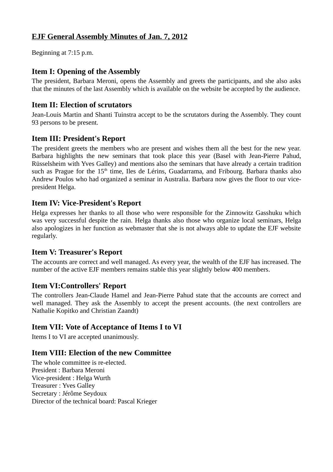# **EJF General Assembly Minutes of Jan. 7, 2012**

Beginning at 7:15 p.m.

### **Item I: Opening of the Assembly**

The president, Barbara Meroni, opens the Assembly and greets the participants, and she also asks that the minutes of the last Assembly which is available on the website be accepted by the audience.

### **Item II: Election of scrutators**

Jean-Louis Martin and Shanti Tuinstra accept to be the scrutators during the Assembly. They count 93 persons to be present.

### **Item III: President's Report**

The president greets the members who are present and wishes them all the best for the new year. Barbara highlights the new seminars that took place this year (Basel with Jean-Pierre Pahud, Rüsselsheim with Yves Galley) and mentions also the seminars that have already a certain tradition such as Prague for the 15<sup>th</sup> time, Iles de Lérins, Guadarrama, and Fribourg. Barbara thanks also Andrew Poulos who had organized a seminar in Australia. Barbara now gives the floor to our vicepresident Helga.

### **Item IV: Vice-President's Report**

Helga expresses her thanks to all those who were responsible for the Zinnowitz Gasshuku which was very successful despite the rain. Helga thanks also those who organize local seminars, Helga also apologizes in her function as webmaster that she is not always able to update the EJF website regularly.

#### **Item V: Treasurer's Report**

The accounts are correct and well managed. As every year, the wealth of the EJF has increased. The number of the active EJF members remains stable this year slightly below 400 members.

#### **Item VI:Controllers' Report**

The controllers Jean-Claude Hamel and Jean-Pierre Pahud state that the accounts are correct and well managed. They ask the Assembly to accept the present accounts. (the next controllers are Nathalie Kopitko and Christian Zaandt)

# **Item VII: Vote of Acceptance of Items I to VI**

Items I to VI are accepted unanimously.

# **Item VIII: Election of the new Committee**

The whole committee is re-elected. President : Barbara Meroni Vice-president : Helga Wurth Treasurer : Yves Galley Secretary : Jérôme Seydoux Director of the technical board: Pascal Krieger